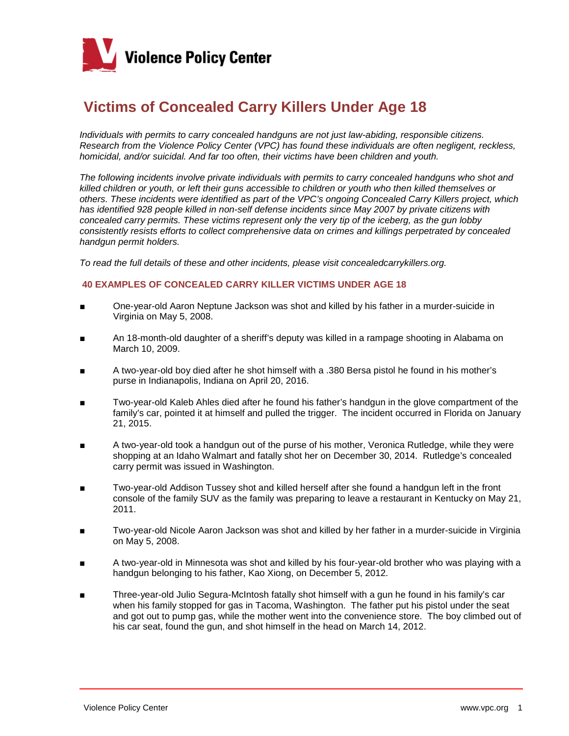

## **Victims of Concealed Carry Killers Under Age 18**

*Individuals with permits to carry concealed handguns are not just law-abiding, responsible citizens. Research from the Violence Policy Center (VPC) has found these individuals are often negligent, reckless, homicidal, and/or suicidal. And far too often, their victims have been children and youth.*

*The following incidents involve private individuals with permits to carry concealed handguns who shot and killed children or youth, or left their guns accessible to children or youth who then killed themselves or others. These incidents were identified as part of the VPC's ongoing Concealed Carry Killers project, which has identified 928 people killed in non-self defense incidents since May 2007 by private citizens with concealed carry permits. These victims represent only the very tip of the iceberg, as the gun lobby consistently resists efforts to collect comprehensive data on crimes and killings perpetrated by concealed handgun permit holders.*

*To read the full details of these and other incidents, please visit concealedcarrykillers.org.*

## **40 EXAMPLES OF CONCEALED CARRY KILLER VICTIMS UNDER AGE 18**

- One-year-old Aaron Neptune Jackson was shot and killed by his father in a murder-suicide in Virginia on May 5, 2008.
- An 18-month-old daughter of a sheriff's deputy was killed in a rampage shooting in Alabama on March 10, 2009.
- A two-year-old boy died after he shot himself with a .380 Bersa pistol he found in his mother's purse in Indianapolis, Indiana on April 20, 2016.
- Two-year-old Kaleb Ahles died after he found his father's handgun in the glove compartment of the family's car, pointed it at himself and pulled the trigger. The incident occurred in Florida on January 21, 2015.
- A two-year-old took a handgun out of the purse of his mother, Veronica Rutledge, while they were shopping at an Idaho Walmart and fatally shot her on December 30, 2014. Rutledge's concealed carry permit was issued in Washington.
- Two-year-old Addison Tussey shot and killed herself after she found a handgun left in the front console of the family SUV as the family was preparing to leave a restaurant in Kentucky on May 21, 2011.
- Two-year-old Nicole Aaron Jackson was shot and killed by her father in a murder-suicide in Virginia on May 5, 2008.
- A two-year-old in Minnesota was shot and killed by his four-year-old brother who was playing with a handgun belonging to his father, Kao Xiong, on December 5, 2012.
- Three-year-old Julio Segura-McIntosh fatally shot himself with a gun he found in his family's car when his family stopped for gas in Tacoma, Washington. The father put his pistol under the seat and got out to pump gas, while the mother went into the convenience store. The boy climbed out of his car seat, found the gun, and shot himself in the head on March 14, 2012.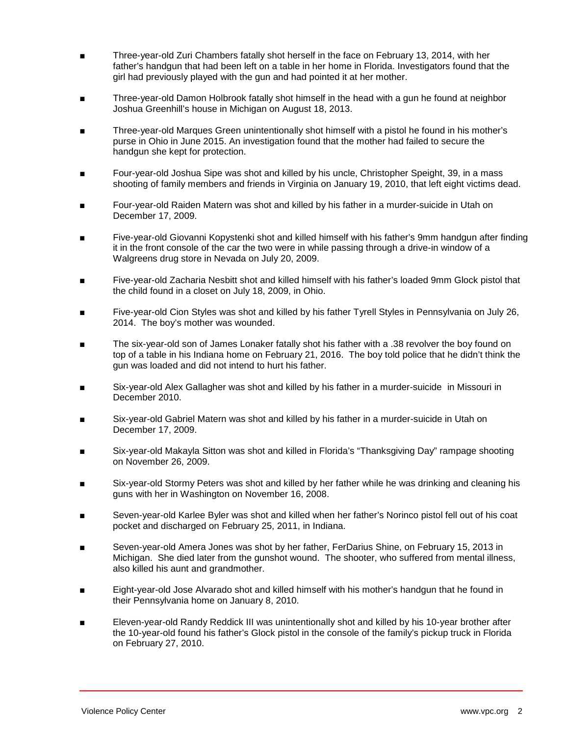- Three-year-old Zuri Chambers fatally shot herself in the face on February 13, 2014, with her father's handgun that had been left on a table in her home in Florida. Investigators found that the girl had previously played with the gun and had pointed it at her mother.
- Three-year-old Damon Holbrook fatally shot himself in the head with a gun he found at neighbor Joshua Greenhill's house in Michigan on August 18, 2013.
- Three-year-old Marques Green unintentionally shot himself with a pistol he found in his mother's purse in Ohio in June 2015. An investigation found that the mother had failed to secure the handgun she kept for protection.
- Four-year-old Joshua Sipe was shot and killed by his uncle, Christopher Speight, 39, in a mass shooting of family members and friends in Virginia on January 19, 2010, that left eight victims dead.
- Four-year-old Raiden Matern was shot and killed by his father in a murder-suicide in Utah on December 17, 2009.
- Five-year-old Giovanni Kopystenki shot and killed himself with his father's 9mm handgun after finding it in the front console of the car the two were in while passing through a drive-in window of a Walgreens drug store in Nevada on July 20, 2009.
- Five-year-old Zacharia Nesbitt shot and killed himself with his father's loaded 9mm Glock pistol that the child found in a closet on July 18, 2009, in Ohio.
- Five-year-old Cion Styles was shot and killed by his father Tyrell Styles in Pennsylvania on July 26, 2014. The boy's mother was wounded.
- The six-year-old son of James Lonaker fatally shot his father with a .38 revolver the boy found on top of a table in his Indiana home on February 21, 2016. The boy told police that he didn't think the gun was loaded and did not intend to hurt his father.
- Six-year-old Alex Gallagher was shot and killed by his father in a murder-suicide in Missouri in December 2010.
- Six-year-old Gabriel Matern was shot and killed by his father in a murder-suicide in Utah on December 17, 2009.
- Six-year-old Makayla Sitton was shot and killed in Florida's "Thanksgiving Day" rampage shooting on November 26, 2009.
- Six-year-old Stormy Peters was shot and killed by her father while he was drinking and cleaning his guns with her in Washington on November 16, 2008.
- Seven-year-old Karlee Byler was shot and killed when her father's Norinco pistol fell out of his coat pocket and discharged on February 25, 2011, in Indiana.
- Seven-year-old Amera Jones was shot by her father, FerDarius Shine, on February 15, 2013 in Michigan. She died later from the gunshot wound. The shooter, who suffered from mental illness, also killed his aunt and grandmother.
- Eight-year-old Jose Alvarado shot and killed himself with his mother's handgun that he found in their Pennsylvania home on January 8, 2010.
- Eleven-year-old Randy Reddick III was unintentionally shot and killed by his 10-year brother after the 10-year-old found his father's Glock pistol in the console of the family's pickup truck in Florida on February 27, 2010.